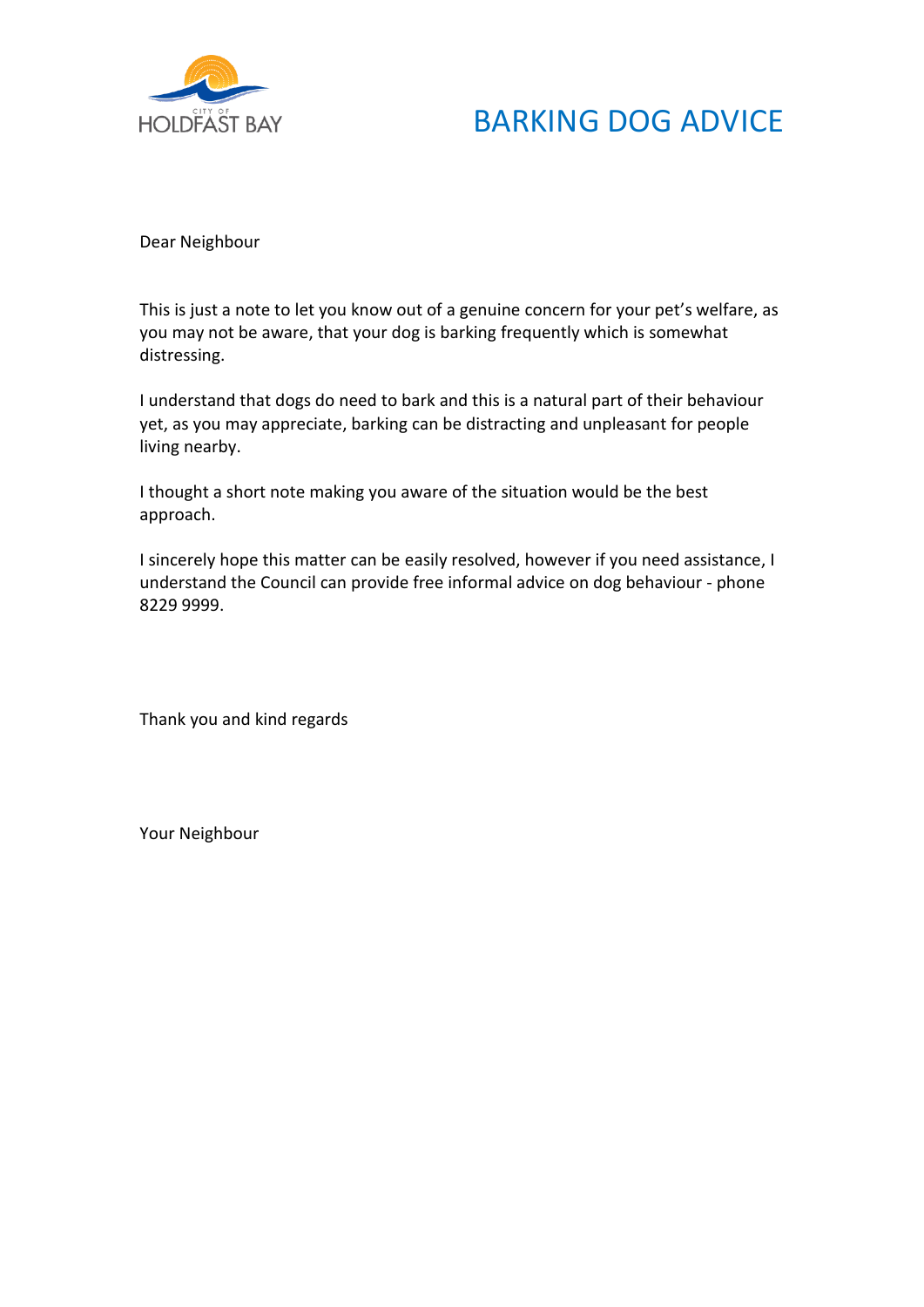

## BARKING DOG ADVICE

Dear Neighbour

This is just a note to let you know out of a genuine concern for your pet's welfare, as you may not be aware, that your dog is barking frequently which is somewhat distressing.

I understand that dogs do need to bark and this is a natural part of their behaviour yet, as you may appreciate, barking can be distracting and unpleasant for people living nearby.

I thought a short note making you aware of the situation would be the best approach.

I sincerely hope this matter can be easily resolved, however if you need assistance, I understand the Council can provide free informal advice on dog behaviour - phone 8229 9999.

Thank you and kind regards

Your Neighbour